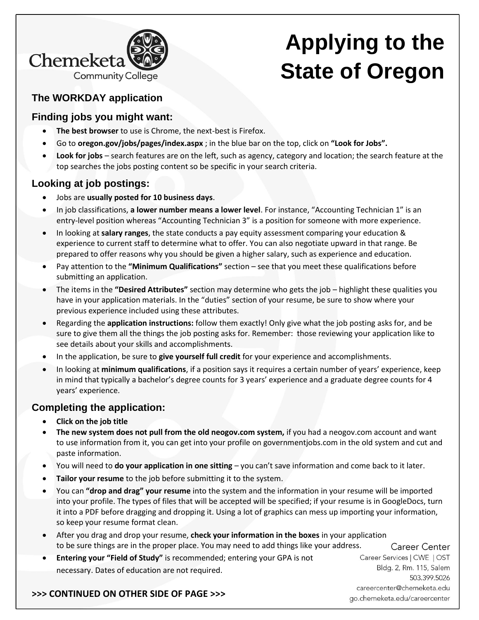

# **Applying to the State of Oregon**

# **The WORKDAY application**

## **Finding jobs you might want:**

- The best browser to use is Chrome, the next-best is Firefox.
- Go to **oregon.gov/jobs/pages/index.aspx** ; in the blue bar on the top, click on **"Look for Jobs".**
- **Look for jobs** search features are on the left, such as agency, category and location; the search feature at the top searches the jobs posting content so be specific in your search criteria.

# **Looking at job postings:**

- Jobs are **usually posted for 10 business days**.
- In job classifications, **a lower number means a lower level**. For instance, "Accounting Technician 1" is an entry-level position whereas "Accounting Technician 3" is a position for someone with more experience.
- In looking at **salary ranges**, the state conducts a pay equity assessment comparing your education & experience to current staff to determine what to offer. You can also negotiate upward in that range. Be prepared to offer reasons why you should be given a higher salary, such as experience and education.
- Pay attention to the **"Minimum Qualifications"** section see that you meet these qualifications before submitting an application.
- The items in the **"Desired Attributes"** section may determine who gets the job highlight these qualities you have in your application materials. In the "duties" section of your resume, be sure to show where your previous experience included using these attributes.
- Regarding the **application instructions:** follow them exactly! Only give what the job posting asks for, and be sure to give them all the things the job posting asks for. Remember: those reviewing your application like to see details about your skills and accomplishments.
- In the application, be sure to **give yourself full credit** for your experience and accomplishments.
- In looking at **minimum qualifications**, if a position says it requires a certain number of years' experience, keep in mind that typically a bachelor's degree counts for 3 years' experience and a graduate degree counts for 4 years' experience.

# **Completing the application:**

- **Click on the job title**
- **The new system does not pull from the old neogov.com system,** if you had a neogov.com account and want to use information from it, you can get into your profile on governmentjobs.com in the old system and cut and paste information.
- You will need to **do your application in one sitting** you can't save information and come back to it later.
- **Tailor your resume** to the job before submitting it to the system.
- You can **"drop and drag" your resume** into the system and the information in your resume will be imported into your profile. The types of files that will be accepted will be specified; if your resume is in GoogleDocs, turn it into a PDF before dragging and dropping it. Using a lot of graphics can mess up importing your information, so keep your resume format clean.
- After you drag and drop your resume, **check your information in the boxes** in your application to be sure things are in the proper place. You may need to add things like your address.
- **Entering your "Field of Study"** is recommended; entering your GPA is not necessary. Dates of education are not required.

Career Center Career Services | CWE | OST Bldg. 2, Rm. 115, Salem 503.399.5026 careercenter@chemeketa.edu go.chemeketa.edu/careercenter

### **>>> CONTINUED ON OTHER SIDE OF PAGE >>>**